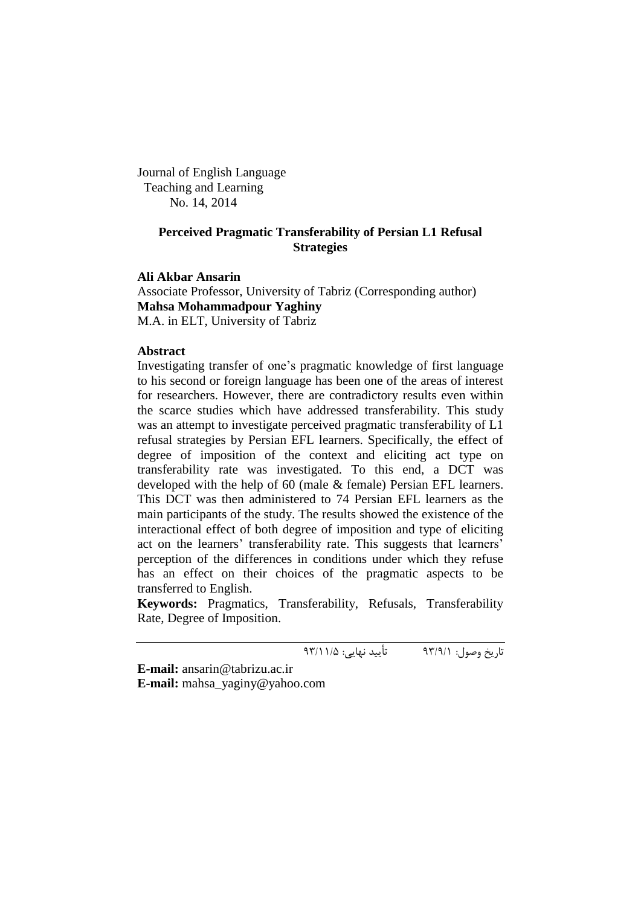Journal of English Language Teaching and Learning No. 14, 2014

# **Perceived Pragmatic Transferability of Persian L1 Refusal Strategies**

**Ali Akbar Ansarin**

Associate Professor, University of Tabriz (Corresponding author) **Mahsa Mohammadpour Yaghiny** M.A. in ELT, University of Tabriz

# **Abstract**

Investigating transfer of one"s pragmatic knowledge of first language to his second or foreign language has been one of the areas of interest for researchers. However, there are contradictory results even within the scarce studies which have addressed transferability. This study was an attempt to investigate perceived pragmatic transferability of L1 refusal strategies by Persian EFL learners. Specifically, the effect of degree of imposition of the context and eliciting act type on transferability rate was investigated. To this end, a DCT was developed with the help of 60 (male & female) Persian EFL learners. This DCT was then administered to 74 Persian EFL learners as the main participants of the study. The results showed the existence of the interactional effect of both degree of imposition and type of eliciting act on the learners' transferability rate. This suggests that learners' perception of the differences in conditions under which they refuse has an effect on their choices of the pragmatic aspects to be transferred to English.

**Keywords:** Pragmatics, Transferability, Refusals, Transferability Rate, Degree of Imposition.

تاریخ وصول: 99/9/1 تأیید نهایی: 99/11/5

**E-mail:** [ansarin@tabrizu.ac.ir](mailto:ansarin@tabrizu.ac.ir)

**E-mail:** [mahsa\\_yaginy@yahoo.com](mailto:mahsa_yaginy@yahoo.com)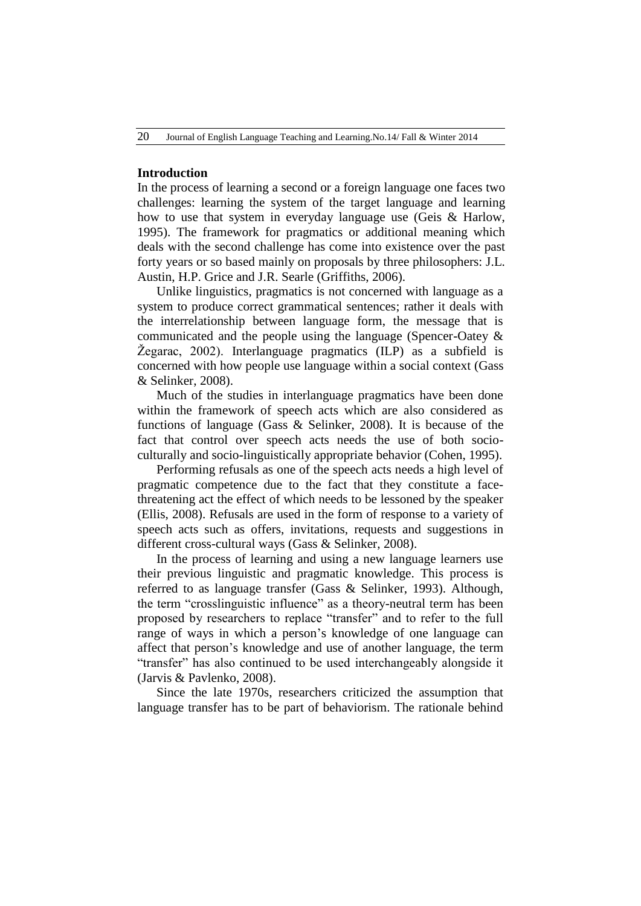# **Introduction**

In the process of learning a second or a foreign language one faces two challenges: learning the system of the target language and learning how to use that system in everyday language use (Geis & Harlow, 1995). The framework for pragmatics or additional meaning which deals with the second challenge has come into existence over the past forty years or so based mainly on proposals by three philosophers: J.L. Austin, H.P. Grice and J.R. Searle (Griffiths, 2006).

Unlike linguistics, pragmatics is not concerned with language as a system to produce correct grammatical sentences; rather it deals with the interrelationship between language form, the message that is communicated and the people using the language (Spencer-Oatey & Žegarac, 2002). Interlanguage pragmatics (ILP) as a subfield is concerned with how people use language within a social context (Gass & Selinker, 2008).

Much of the studies in interlanguage pragmatics have been done within the framework of speech acts which are also considered as functions of language (Gass & Selinker, 2008). It is because of the fact that control over speech acts needs the use of both socioculturally and socio-linguistically appropriate behavior (Cohen, 1995).

Performing refusals as one of the speech acts needs a high level of pragmatic competence due to the fact that they constitute a facethreatening act the effect of which needs to be lessoned by the speaker (Ellis, 2008). Refusals are used in the form of response to a variety of speech acts such as offers, invitations, requests and suggestions in different cross-cultural ways (Gass & Selinker, 2008).

In the process of learning and using a new language learners use their previous linguistic and pragmatic knowledge. This process is referred to as language transfer (Gass & Selinker, 1993). Although, the term "crosslinguistic influence" as a theory-neutral term has been proposed by researchers to replace "transfer" and to refer to the full range of ways in which a person's knowledge of one language can affect that person"s knowledge and use of another language, the term "transfer" has also continued to be used interchangeably alongside it (Jarvis & Pavlenko, 2008).

Since the late 1970s, researchers criticized the assumption that language transfer has to be part of behaviorism. The rationale behind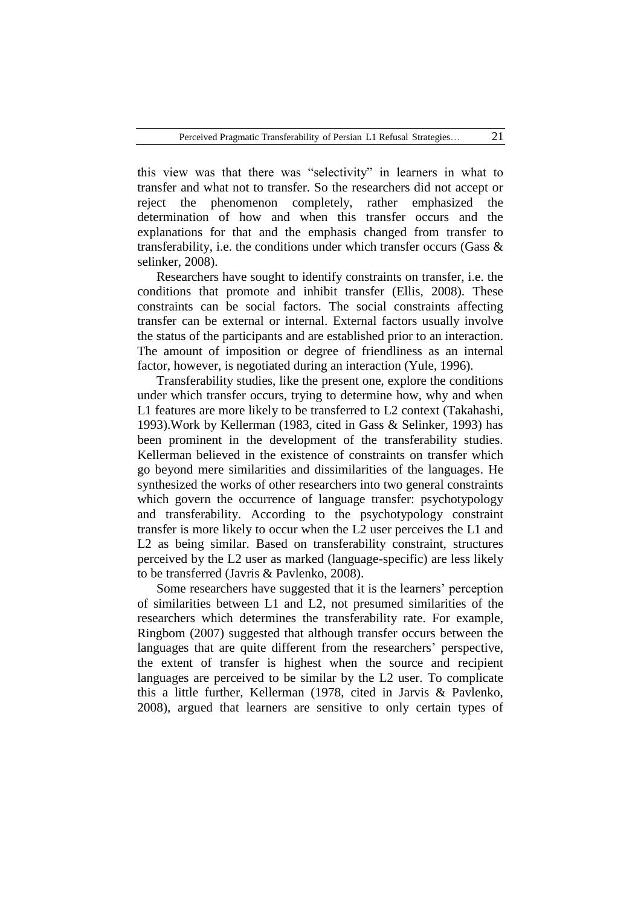this view was that there was "selectivity" in learners in what to transfer and what not to transfer. So the researchers did not accept or reject the phenomenon completely, rather emphasized the determination of how and when this transfer occurs and the explanations for that and the emphasis changed from transfer to transferability, i.e. the conditions under which transfer occurs (Gass  $\&$ selinker, 2008).

Researchers have sought to identify constraints on transfer, i.e. the conditions that promote and inhibit transfer (Ellis, 2008). These constraints can be social factors. The social constraints affecting transfer can be external or internal. External factors usually involve the status of the participants and are established prior to an interaction. The amount of imposition or degree of friendliness as an internal factor, however, is negotiated during an interaction (Yule, 1996).

Transferability studies, like the present one, explore the conditions under which transfer occurs, trying to determine how, why and when L1 features are more likely to be transferred to L2 context (Takahashi, 1993).Work by Kellerman (1983, cited in Gass & Selinker, 1993) has been prominent in the development of the transferability studies. Kellerman believed in the existence of constraints on transfer which go beyond mere similarities and dissimilarities of the languages. He synthesized the works of other researchers into two general constraints which govern the occurrence of language transfer: psychotypology and transferability. According to the psychotypology constraint transfer is more likely to occur when the L2 user perceives the L1 and L2 as being similar. Based on transferability constraint, structures perceived by the L2 user as marked (language-specific) are less likely to be transferred (Javris & Pavlenko, 2008).

Some researchers have suggested that it is the learners' perception of similarities between L1 and L2, not presumed similarities of the researchers which determines the transferability rate. For example, Ringbom (2007) suggested that although transfer occurs between the languages that are quite different from the researchers' perspective, the extent of transfer is highest when the source and recipient languages are perceived to be similar by the L2 user. To complicate this a little further, Kellerman (1978, cited in Jarvis & Pavlenko, 2008), argued that learners are sensitive to only certain types of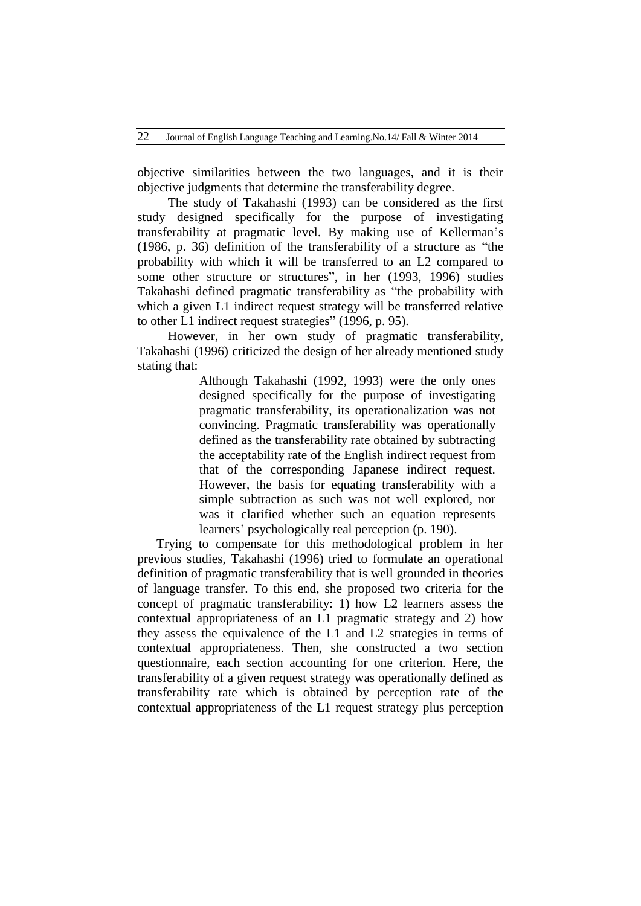objective similarities between the two languages, and it is their objective judgments that determine the transferability degree.

The study of Takahashi (1993) can be considered as the first study designed specifically for the purpose of investigating transferability at pragmatic level. By making use of Kellerman"s (1986, p. 36) definition of the transferability of a structure as "the probability with which it will be transferred to an L2 compared to some other structure or structures", in her (1993, 1996) studies Takahashi defined pragmatic transferability as "the probability with which a given L1 indirect request strategy will be transferred relative to other L1 indirect request strategies" (1996, p. 95).

However, in her own study of pragmatic transferability, Takahashi (1996) criticized the design of her already mentioned study stating that:

> Although Takahashi (1992, 1993) were the only ones designed specifically for the purpose of investigating pragmatic transferability, its operationalization was not convincing. Pragmatic transferability was operationally defined as the transferability rate obtained by subtracting the acceptability rate of the English indirect request from that of the corresponding Japanese indirect request. However, the basis for equating transferability with a simple subtraction as such was not well explored, nor was it clarified whether such an equation represents learners' psychologically real perception (p. 190).

Trying to compensate for this methodological problem in her previous studies, Takahashi (1996) tried to formulate an operational definition of pragmatic transferability that is well grounded in theories of language transfer. To this end, she proposed two criteria for the concept of pragmatic transferability: 1) how L2 learners assess the contextual appropriateness of an L1 pragmatic strategy and 2) how they assess the equivalence of the L1 and L2 strategies in terms of contextual appropriateness. Then, she constructed a two section questionnaire, each section accounting for one criterion. Here, the transferability of a given request strategy was operationally defined as transferability rate which is obtained by perception rate of the contextual appropriateness of the L1 request strategy plus perception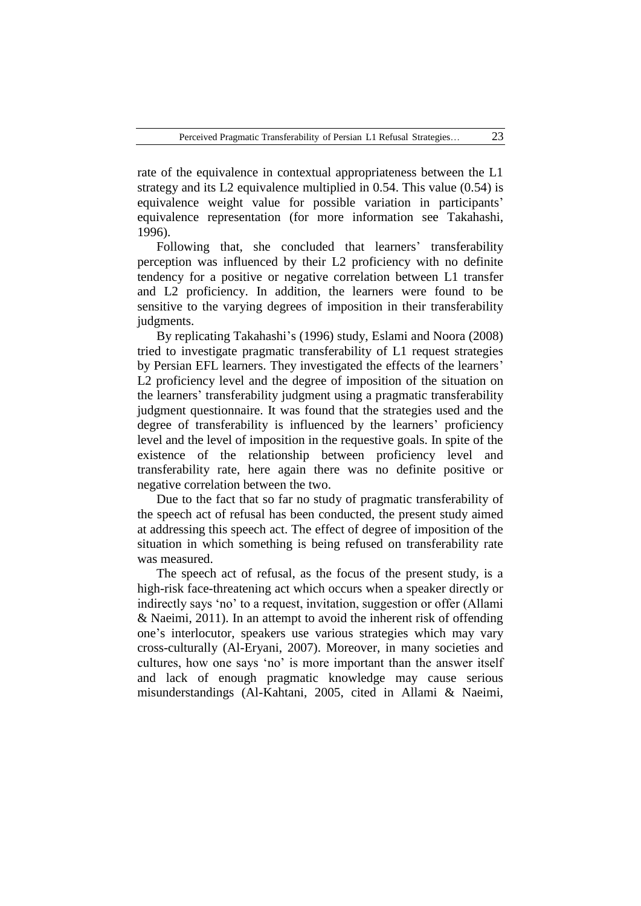rate of the equivalence in contextual appropriateness between the L1 strategy and its L2 equivalence multiplied in 0.54. This value (0.54) is equivalence weight value for possible variation in participants' equivalence representation (for more information see Takahashi, 1996).

Following that, she concluded that learners' transferability perception was influenced by their L2 proficiency with no definite tendency for a positive or negative correlation between L1 transfer and L2 proficiency. In addition, the learners were found to be sensitive to the varying degrees of imposition in their transferability judgments.

By replicating Takahashi"s (1996) study, Eslami and Noora (2008) tried to investigate pragmatic transferability of L1 request strategies by Persian EFL learners. They investigated the effects of the learners" L2 proficiency level and the degree of imposition of the situation on the learners" transferability judgment using a pragmatic transferability judgment questionnaire. It was found that the strategies used and the degree of transferability is influenced by the learners' proficiency level and the level of imposition in the requestive goals. In spite of the existence of the relationship between proficiency level and transferability rate, here again there was no definite positive or negative correlation between the two.

Due to the fact that so far no study of pragmatic transferability of the speech act of refusal has been conducted, the present study aimed at addressing this speech act. The effect of degree of imposition of the situation in which something is being refused on transferability rate was measured.

The speech act of refusal, as the focus of the present study, is a high-risk face-threatening act which occurs when a speaker directly or indirectly says "no" to a request, invitation, suggestion or offer (Allami & Naeimi, 2011). In an attempt to avoid the inherent risk of offending one"s interlocutor, speakers use various strategies which may vary cross-culturally (Al-Eryani, 2007). Moreover, in many societies and cultures, how one says "no" is more important than the answer itself and lack of enough pragmatic knowledge may cause serious misunderstandings (Al-Kahtani, 2005, cited in Allami & Naeimi,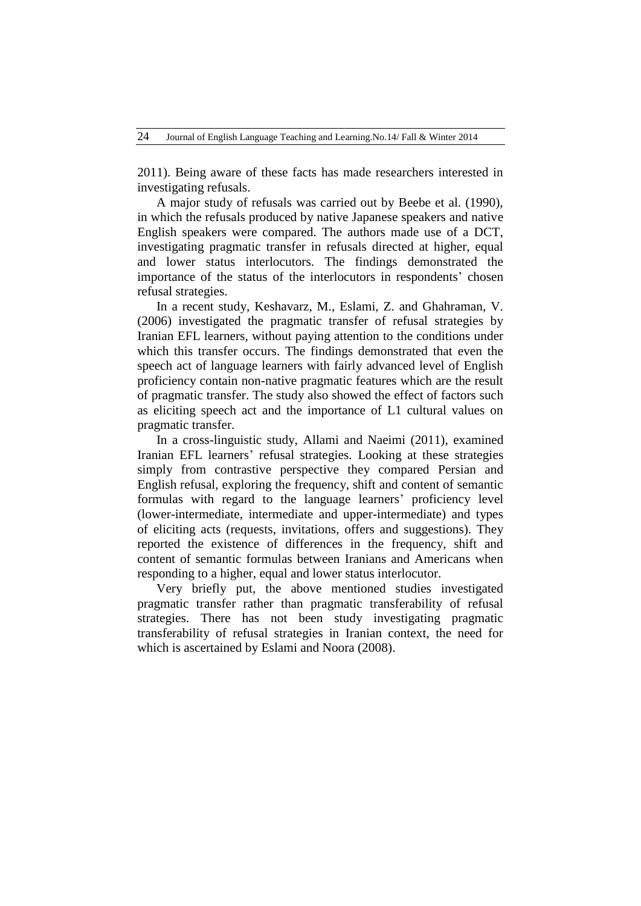2011). Being aware of these facts has made researchers interested in investigating refusals.

A major study of refusals was carried out by Beebe et al. (1990), in which the refusals produced by native Japanese speakers and native English speakers were compared. The authors made use of a DCT, investigating pragmatic transfer in refusals directed at higher, equal and lower status interlocutors. The findings demonstrated the importance of the status of the interlocutors in respondents' chosen refusal strategies.

In a recent study, Keshavarz, M., Eslami, Z. and Ghahraman, V. (2006) investigated the pragmatic transfer of refusal strategies by Iranian EFL learners, without paying attention to the conditions under which this transfer occurs. The findings demonstrated that even the speech act of language learners with fairly advanced level of English proficiency contain non-native pragmatic features which are the result of pragmatic transfer. The study also showed the effect of factors such as eliciting speech act and the importance of L1 cultural values on pragmatic transfer.

In a cross-linguistic study, Allami and Naeimi (2011), examined Iranian EFL learners' refusal strategies. Looking at these strategies simply from contrastive perspective they compared Persian and English refusal, exploring the frequency, shift and content of semantic formulas with regard to the language learners' proficiency level (lower-intermediate, intermediate and upper-intermediate) and types of eliciting acts (requests, invitations, offers and suggestions). They reported the existence of differences in the frequency, shift and content of semantic formulas between Iranians and Americans when responding to a higher, equal and lower status interlocutor.

Very briefly put, the above mentioned studies investigated pragmatic transfer rather than pragmatic transferability of refusal strategies. There has not been study investigating pragmatic transferability of refusal strategies in Iranian context, the need for which is ascertained by Eslami and Noora (2008).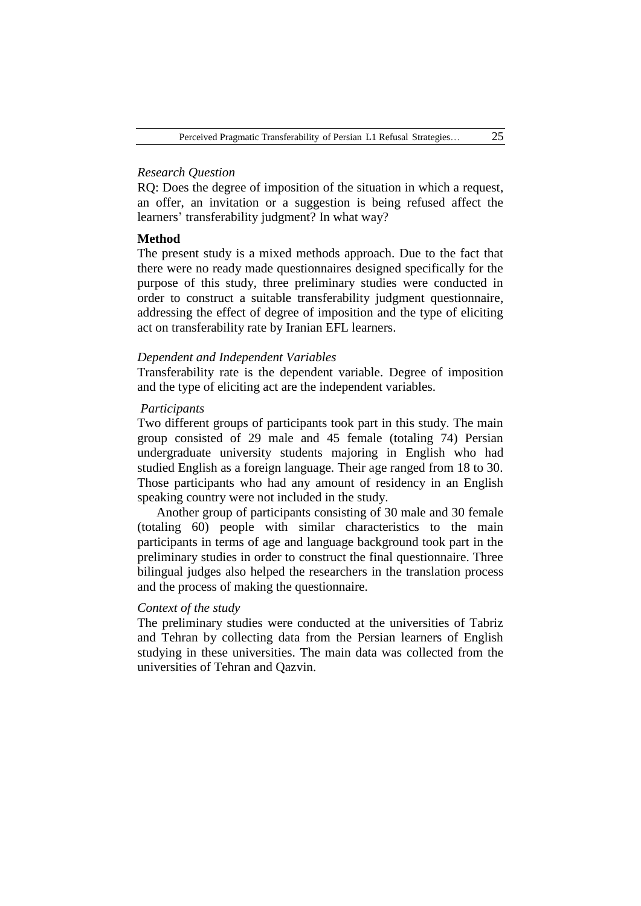# *Research Question*

RQ: Does the degree of imposition of the situation in which a request, an offer, an invitation or a suggestion is being refused affect the learners' transferability judgment? In what way?

#### **Method**

The present study is a mixed methods approach. Due to the fact that there were no ready made questionnaires designed specifically for the purpose of this study, three preliminary studies were conducted in order to construct a suitable transferability judgment questionnaire, addressing the effect of degree of imposition and the type of eliciting act on transferability rate by Iranian EFL learners.

#### *Dependent and Independent Variables*

Transferability rate is the dependent variable. Degree of imposition and the type of eliciting act are the independent variables.

## *Participants*

Two different groups of participants took part in this study. The main group consisted of 29 male and 45 female (totaling 74) Persian undergraduate university students majoring in English who had studied English as a foreign language. Their age ranged from 18 to 30. Those participants who had any amount of residency in an English speaking country were not included in the study.

Another group of participants consisting of 30 male and 30 female (totaling 60) people with similar characteristics to the main participants in terms of age and language background took part in the preliminary studies in order to construct the final questionnaire. Three bilingual judges also helped the researchers in the translation process and the process of making the questionnaire.

## *Context of the study*

The preliminary studies were conducted at the universities of Tabriz and Tehran by collecting data from the Persian learners of English studying in these universities. The main data was collected from the universities of Tehran and Qazvin.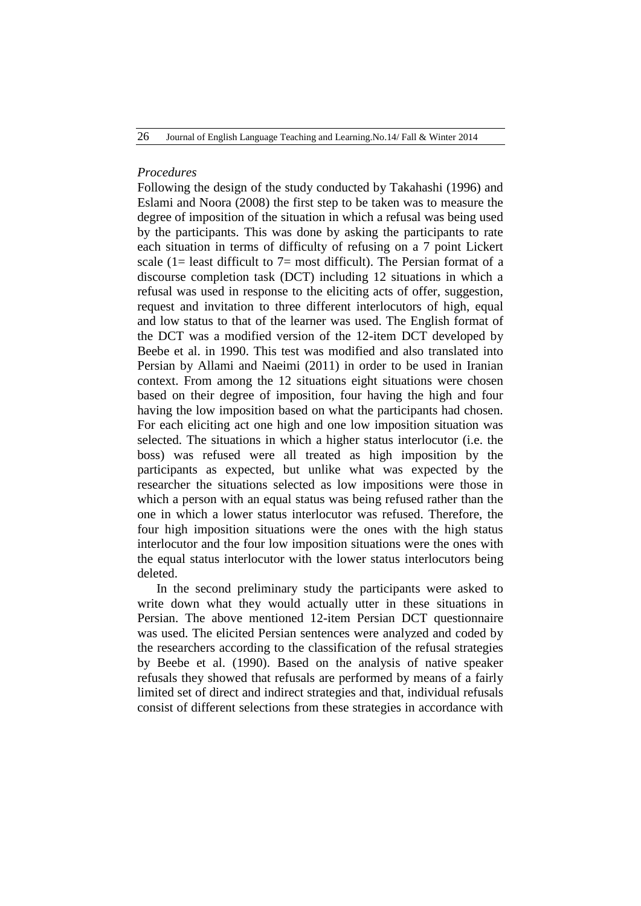# *Procedures*

Following the design of the study conducted by Takahashi (1996) and Eslami and Noora (2008) the first step to be taken was to measure the degree of imposition of the situation in which a refusal was being used by the participants. This was done by asking the participants to rate each situation in terms of difficulty of refusing on a 7 point Lickert scale (1= least difficult to 7= most difficult). The Persian format of a discourse completion task (DCT) including 12 situations in which a refusal was used in response to the eliciting acts of offer, suggestion, request and invitation to three different interlocutors of high, equal and low status to that of the learner was used. The English format of the DCT was a modified version of the 12-item DCT developed by Beebe et al. in 1990. This test was modified and also translated into Persian by Allami and Naeimi (2011) in order to be used in Iranian context. From among the 12 situations eight situations were chosen based on their degree of imposition, four having the high and four having the low imposition based on what the participants had chosen. For each eliciting act one high and one low imposition situation was selected. The situations in which a higher status interlocutor (i.e. the boss) was refused were all treated as high imposition by the participants as expected, but unlike what was expected by the researcher the situations selected as low impositions were those in which a person with an equal status was being refused rather than the one in which a lower status interlocutor was refused. Therefore, the four high imposition situations were the ones with the high status interlocutor and the four low imposition situations were the ones with the equal status interlocutor with the lower status interlocutors being deleted.

In the second preliminary study the participants were asked to write down what they would actually utter in these situations in Persian. The above mentioned 12-item Persian DCT questionnaire was used. The elicited Persian sentences were analyzed and coded by the researchers according to the classification of the refusal strategies by Beebe et al. (1990). Based on the analysis of native speaker refusals they showed that refusals are performed by means of a fairly limited set of direct and indirect strategies and that, individual refusals consist of different selections from these strategies in accordance with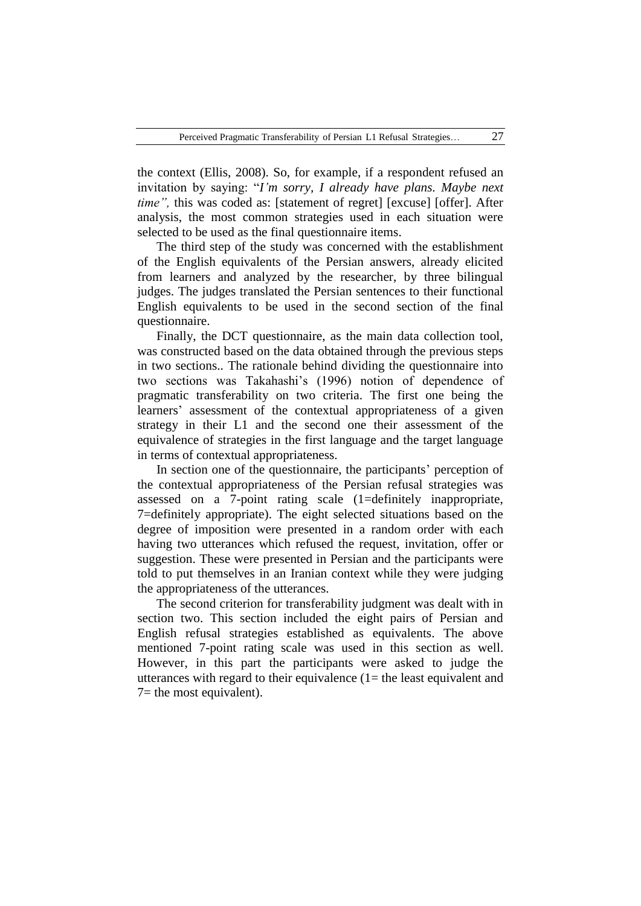the context (Ellis, 2008). So, for example, if a respondent refused an invitation by saying: "*I'm sorry, I already have plans. Maybe next time"*, this was coded as: [statement of regret] [excuse] [offer]. After analysis, the most common strategies used in each situation were selected to be used as the final questionnaire items.

The third step of the study was concerned with the establishment of the English equivalents of the Persian answers, already elicited from learners and analyzed by the researcher, by three bilingual judges. The judges translated the Persian sentences to their functional English equivalents to be used in the second section of the final questionnaire.

Finally, the DCT questionnaire, as the main data collection tool, was constructed based on the data obtained through the previous steps in two sections.. The rationale behind dividing the questionnaire into two sections was Takahashi"s (1996) notion of dependence of pragmatic transferability on two criteria. The first one being the learners' assessment of the contextual appropriateness of a given strategy in their L1 and the second one their assessment of the equivalence of strategies in the first language and the target language in terms of contextual appropriateness.

In section one of the questionnaire, the participants' perception of the contextual appropriateness of the Persian refusal strategies was assessed on a 7-point rating scale (1=definitely inappropriate, 7=definitely appropriate). The eight selected situations based on the degree of imposition were presented in a random order with each having two utterances which refused the request, invitation, offer or suggestion. These were presented in Persian and the participants were told to put themselves in an Iranian context while they were judging the appropriateness of the utterances.

The second criterion for transferability judgment was dealt with in section two. This section included the eight pairs of Persian and English refusal strategies established as equivalents. The above mentioned 7-point rating scale was used in this section as well. However, in this part the participants were asked to judge the utterances with regard to their equivalence  $(1=$  the least equivalent and  $7=$  the most equivalent).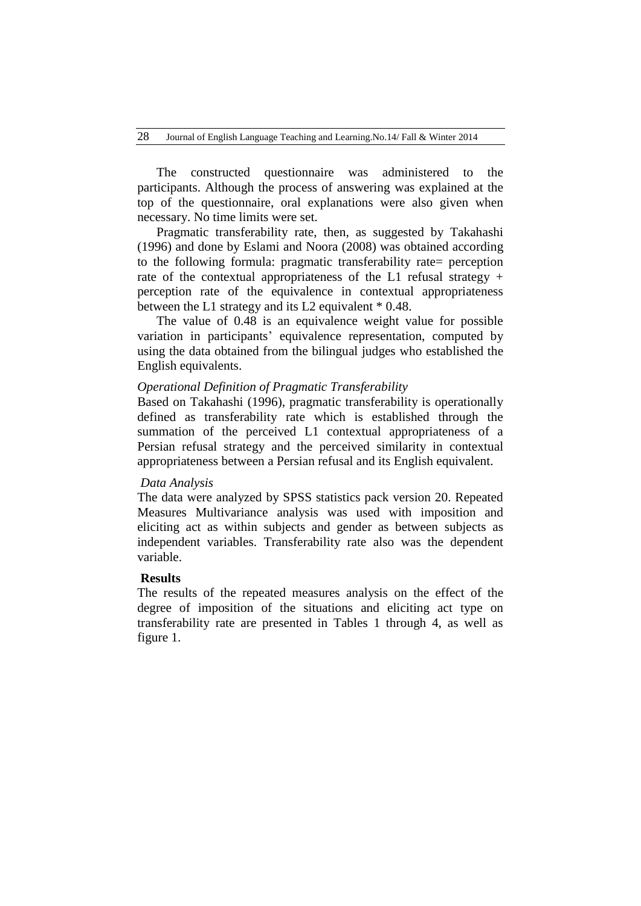The constructed questionnaire was administered to the participants. Although the process of answering was explained at the top of the questionnaire, oral explanations were also given when necessary. No time limits were set.

Pragmatic transferability rate, then, as suggested by Takahashi (1996) and done by Eslami and Noora (2008) was obtained according to the following formula: pragmatic transferability rate= perception rate of the contextual appropriateness of the L1 refusal strategy + perception rate of the equivalence in contextual appropriateness between the L1 strategy and its L2 equivalent \* 0.48.

The value of 0.48 is an equivalence weight value for possible variation in participants' equivalence representation, computed by using the data obtained from the bilingual judges who established the English equivalents.

# *Operational Definition of Pragmatic Transferability*

Based on Takahashi (1996), pragmatic transferability is operationally defined as transferability rate which is established through the summation of the perceived L1 contextual appropriateness of a Persian refusal strategy and the perceived similarity in contextual appropriateness between a Persian refusal and its English equivalent.

## *Data Analysis*

The data were analyzed by SPSS statistics pack version 20. Repeated Measures Multivariance analysis was used with imposition and eliciting act as within subjects and gender as between subjects as independent variables. Transferability rate also was the dependent variable.

## **Results**

The results of the repeated measures analysis on the effect of the degree of imposition of the situations and eliciting act type on transferability rate are presented in Tables 1 through 4, as well as figure 1.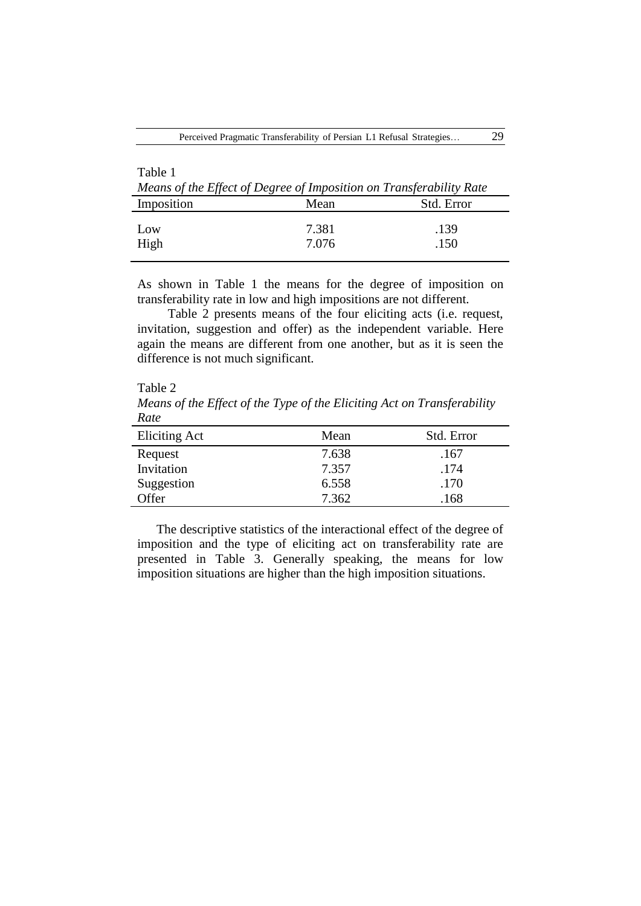| Table 1<br>Means of the Effect of Degree of Imposition on Transferability Rate |                |              |  |  |  |  |
|--------------------------------------------------------------------------------|----------------|--------------|--|--|--|--|
| Imposition                                                                     | Mean           | Std. Error   |  |  |  |  |
| LOW<br>High                                                                    | 7.381<br>7.076 | .139<br>.150 |  |  |  |  |

As shown in Table 1 the means for the degree of imposition on transferability rate in low and high impositions are not different.

Table 2 presents means of the four eliciting acts (i.e. request, invitation, suggestion and offer) as the independent variable. Here again the means are different from one another, but as it is seen the difference is not much significant.

Table 2 *Means of the Effect of the Type of the Eliciting Act on Transferability Rate*

| Eliciting Act | Mean  | Std. Error |
|---------------|-------|------------|
| Request       | 7.638 | .167       |
| Invitation    | 7.357 | .174       |
| Suggestion    | 6.558 | .170       |
| Offer         | 7.362 | .168       |

The descriptive statistics of the interactional effect of the degree of imposition and the type of eliciting act on transferability rate are presented in Table 3. Generally speaking, the means for low imposition situations are higher than the high imposition situations.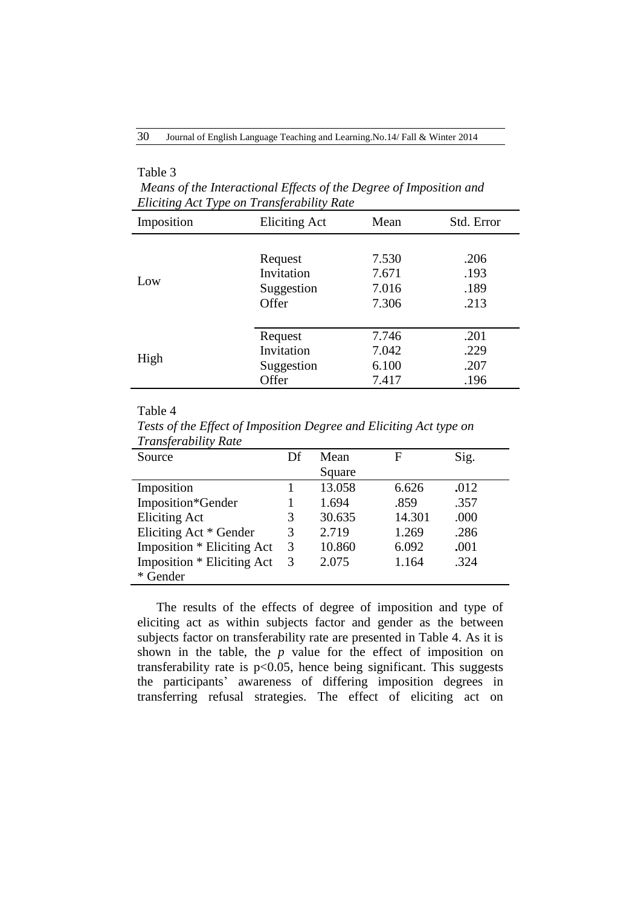# Table 3

*Means of the Interactional Effects of the Degree of Imposition and Eliciting Act Type on Transferability Rate*

| Imposition | <b>Eliciting Act</b> | Mean  | Std. Error |
|------------|----------------------|-------|------------|
| Low        | Request              | 7.530 | .206       |
|            | Invitation           | 7.671 | .193       |
|            | Suggestion           | 7.016 | .189       |
|            | Offer                | 7.306 | .213       |
| High       | Request              | 7.746 | .201       |
|            | Invitation           | 7.042 | .229       |
|            | Suggestion           | 6.100 | .207       |
|            | Offer                | 7.417 | .196       |

#### Table 4

*Tests of the Effect of Imposition Degree and Eliciting Act type on Transferability Rate*

| Source                     | Df | Mean   | F      | Sig. |
|----------------------------|----|--------|--------|------|
|                            |    | Square |        |      |
| Imposition                 |    | 13.058 | 6.626  | .012 |
| Imposition*Gender          |    | 1.694  | .859   | .357 |
| <b>Eliciting Act</b>       | 3  | 30.635 | 14.301 | .000 |
| Eliciting Act * Gender     | 3  | 2.719  | 1.269  | .286 |
| Imposition * Eliciting Act | 3  | 10.860 | 6.092  | .001 |
| Imposition * Eliciting Act | 3  | 2.075  | 1.164  | .324 |
| * Gender                   |    |        |        |      |

The results of the effects of degree of imposition and type of eliciting act as within subjects factor and gender as the between subjects factor on transferability rate are presented in Table 4. As it is shown in the table, the *p* value for the effect of imposition on transferability rate is  $p<0.05$ , hence being significant. This suggests the participants" awareness of differing imposition degrees in transferring refusal strategies. The effect of eliciting act on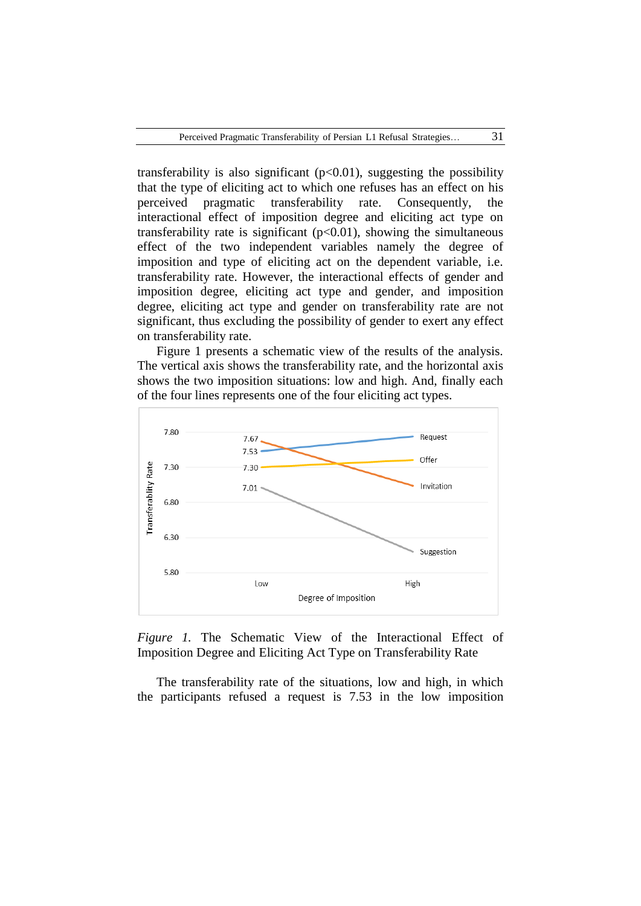transferability is also significant  $(p<0.01)$ , suggesting the possibility that the type of eliciting act to which one refuses has an effect on his perceived pragmatic transferability rate. Consequently, the interactional effect of imposition degree and eliciting act type on transferability rate is significant  $(p<0.01)$ , showing the simultaneous effect of the two independent variables namely the degree of imposition and type of eliciting act on the dependent variable, i.e. transferability rate. However, the interactional effects of gender and imposition degree, eliciting act type and gender, and imposition degree, eliciting act type and gender on transferability rate are not significant, thus excluding the possibility of gender to exert any effect on transferability rate.

Figure 1 presents a schematic view of the results of the analysis. The vertical axis shows the transferability rate, and the horizontal axis shows the two imposition situations: low and high. And, finally each of the four lines represents one of the four eliciting act types.



*Figure 1.* The Schematic View of the Interactional Effect of Imposition Degree and Eliciting Act Type on Transferability Rate

The transferability rate of the situations, low and high, in which the participants refused a request is 7.53 in the low imposition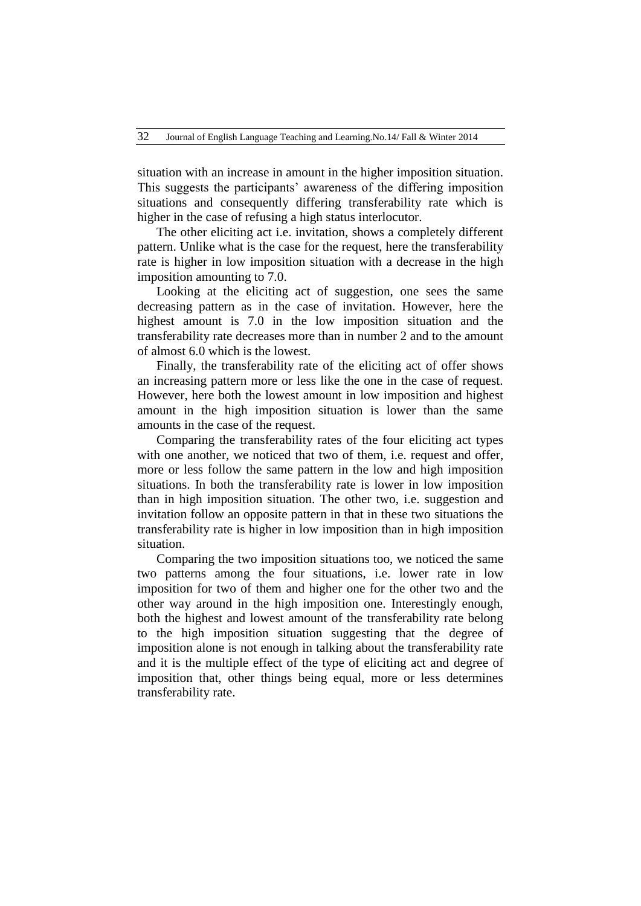situation with an increase in amount in the higher imposition situation. This suggests the participants" awareness of the differing imposition situations and consequently differing transferability rate which is higher in the case of refusing a high status interlocutor.

The other eliciting act i.e. invitation, shows a completely different pattern. Unlike what is the case for the request, here the transferability rate is higher in low imposition situation with a decrease in the high imposition amounting to 7.0.

Looking at the eliciting act of suggestion, one sees the same decreasing pattern as in the case of invitation. However, here the highest amount is 7.0 in the low imposition situation and the transferability rate decreases more than in number 2 and to the amount of almost 6.0 which is the lowest.

Finally, the transferability rate of the eliciting act of offer shows an increasing pattern more or less like the one in the case of request. However, here both the lowest amount in low imposition and highest amount in the high imposition situation is lower than the same amounts in the case of the request.

Comparing the transferability rates of the four eliciting act types with one another, we noticed that two of them, i.e. request and offer, more or less follow the same pattern in the low and high imposition situations. In both the transferability rate is lower in low imposition than in high imposition situation. The other two, i.e. suggestion and invitation follow an opposite pattern in that in these two situations the transferability rate is higher in low imposition than in high imposition situation.

Comparing the two imposition situations too, we noticed the same two patterns among the four situations, i.e. lower rate in low imposition for two of them and higher one for the other two and the other way around in the high imposition one. Interestingly enough, both the highest and lowest amount of the transferability rate belong to the high imposition situation suggesting that the degree of imposition alone is not enough in talking about the transferability rate and it is the multiple effect of the type of eliciting act and degree of imposition that, other things being equal, more or less determines transferability rate.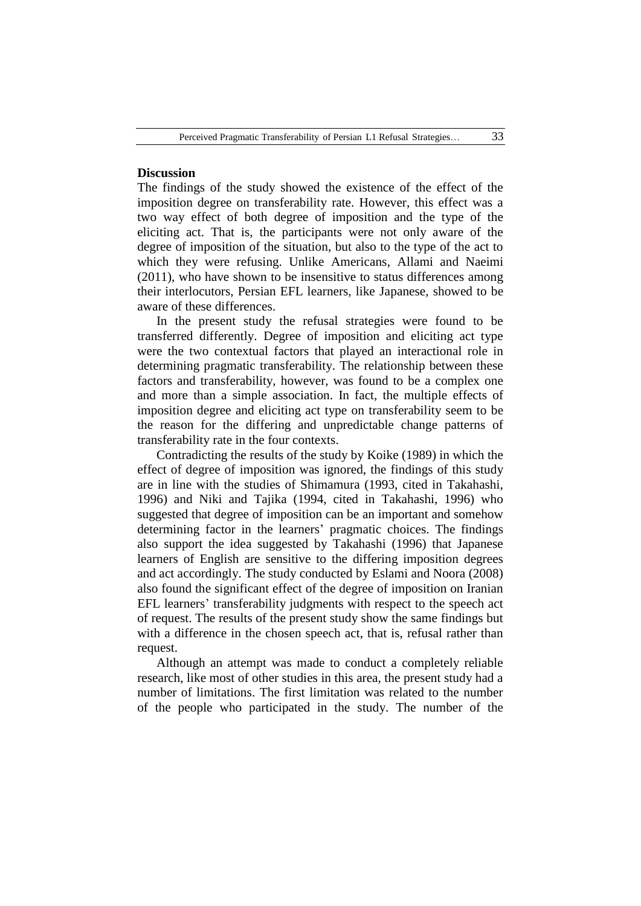# **Discussion**

The findings of the study showed the existence of the effect of the imposition degree on transferability rate. However, this effect was a two way effect of both degree of imposition and the type of the eliciting act. That is, the participants were not only aware of the degree of imposition of the situation, but also to the type of the act to which they were refusing. Unlike Americans, Allami and Naeimi (2011), who have shown to be insensitive to status differences among their interlocutors, Persian EFL learners, like Japanese, showed to be aware of these differences.

In the present study the refusal strategies were found to be transferred differently. Degree of imposition and eliciting act type were the two contextual factors that played an interactional role in determining pragmatic transferability. The relationship between these factors and transferability, however, was found to be a complex one and more than a simple association. In fact, the multiple effects of imposition degree and eliciting act type on transferability seem to be the reason for the differing and unpredictable change patterns of transferability rate in the four contexts.

Contradicting the results of the study by Koike (1989) in which the effect of degree of imposition was ignored, the findings of this study are in line with the studies of Shimamura (1993, cited in Takahashi, 1996) and Niki and Tajika (1994, cited in Takahashi, 1996) who suggested that degree of imposition can be an important and somehow determining factor in the learners' pragmatic choices. The findings also support the idea suggested by Takahashi (1996) that Japanese learners of English are sensitive to the differing imposition degrees and act accordingly. The study conducted by Eslami and Noora (2008) also found the significant effect of the degree of imposition on Iranian EFL learners' transferability judgments with respect to the speech act of request. The results of the present study show the same findings but with a difference in the chosen speech act, that is, refusal rather than request.

Although an attempt was made to conduct a completely reliable research, like most of other studies in this area, the present study had a number of limitations. The first limitation was related to the number of the people who participated in the study. The number of the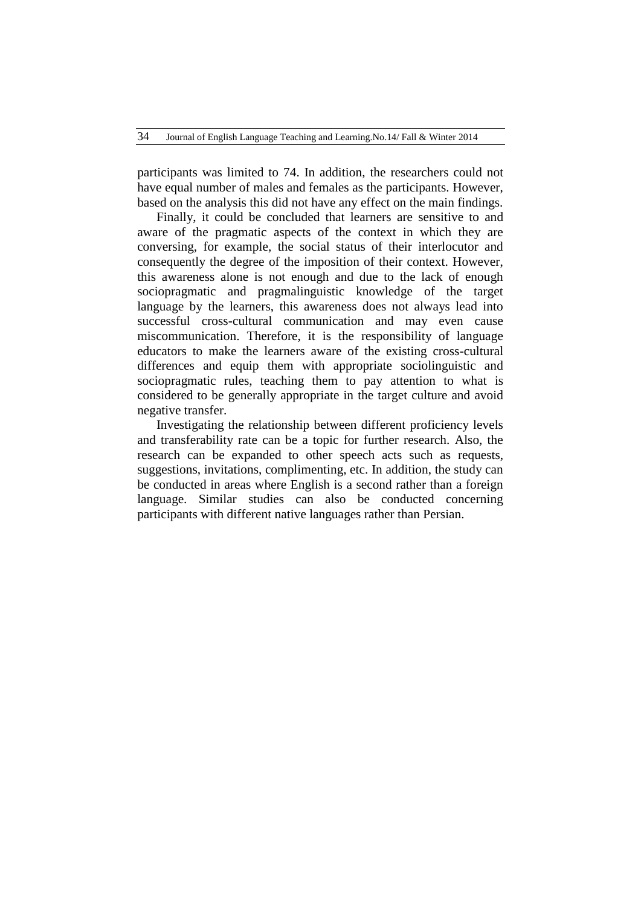participants was limited to 74. In addition, the researchers could not have equal number of males and females as the participants. However, based on the analysis this did not have any effect on the main findings.

Finally, it could be concluded that learners are sensitive to and aware of the pragmatic aspects of the context in which they are conversing, for example, the social status of their interlocutor and consequently the degree of the imposition of their context. However, this awareness alone is not enough and due to the lack of enough sociopragmatic and pragmalinguistic knowledge of the target language by the learners, this awareness does not always lead into successful cross-cultural communication and may even cause miscommunication. Therefore, it is the responsibility of language educators to make the learners aware of the existing cross-cultural differences and equip them with appropriate sociolinguistic and sociopragmatic rules, teaching them to pay attention to what is considered to be generally appropriate in the target culture and avoid negative transfer.

Investigating the relationship between different proficiency levels and transferability rate can be a topic for further research. Also, the research can be expanded to other speech acts such as requests, suggestions, invitations, complimenting, etc. In addition, the study can be conducted in areas where English is a second rather than a foreign language. Similar studies can also be conducted concerning participants with different native languages rather than Persian.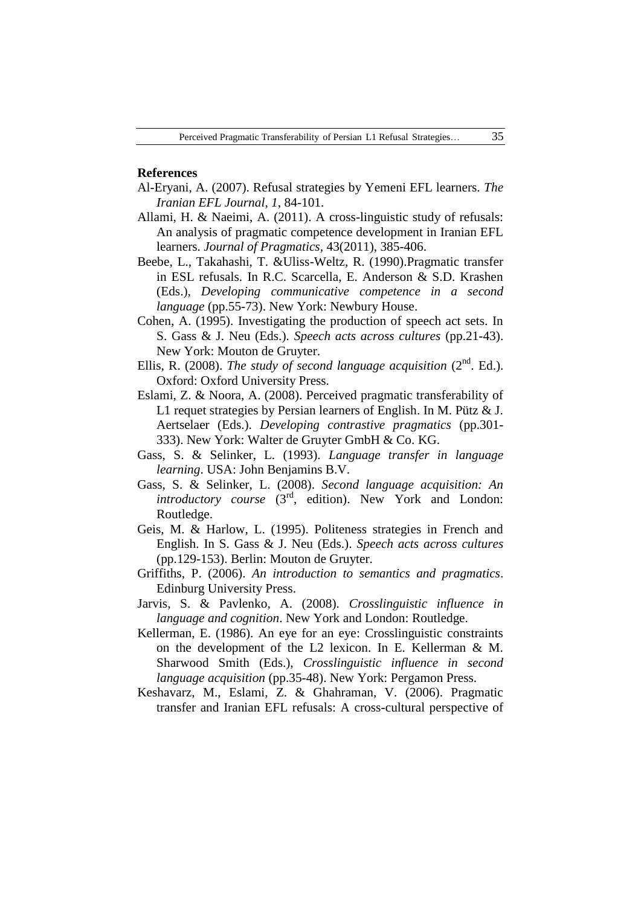#### **References**

- Al-Eryani, A. (2007). Refusal strategies by Yemeni EFL learners. *The Iranian EFL Journal, 1*, 84-101.
- Allami, H. & Naeimi, A. (2011). A cross-linguistic study of refusals: An analysis of pragmatic competence development in Iranian EFL learners. *Journal of Pragmatics,* 43(2011), 385-406.
- Beebe, L., Takahashi, T. &Uliss-Weltz, R. (1990).Pragmatic transfer in ESL refusals. In R.C. Scarcella, E. Anderson & S.D. Krashen (Eds.), *Developing communicative competence in a second language* (pp.55-73). New York: Newbury House.
- Cohen, A. (1995). Investigating the production of speech act sets. In S. Gass & J. Neu (Eds.). *Speech acts across cultures* (pp.21-43). New York: Mouton de Gruyter.
- Ellis, R. (2008). *The study of second language acquisition* (2<sup>nd</sup>. Ed.). Oxford: Oxford University Press.
- Eslami, Z. & Noora, A. (2008). Perceived pragmatic transferability of L1 requet strategies by Persian learners of English. In M. Pütz & J. Aertselaer (Eds.). *Developing contrastive pragmatics* (pp.301- 333). New York: Walter de Gruyter GmbH & Co. KG.
- Gass, S. & Selinker, L. (1993). *Language transfer in language learning*. USA: John Benjamins B.V.
- Gass, S. & Selinker, L. (2008). *Second language acquisition: An introductory course*  $(3<sup>rd</sup>, edition)$ . New York and London: Routledge.
- Geis, M. & Harlow, L. (1995). Politeness strategies in French and English. In S. Gass & J. Neu (Eds.). *Speech acts across cultures*  (pp.129-153). Berlin: Mouton de Gruyter.
- Griffiths, P. (2006). *An introduction to semantics and pragmatics*. Edinburg University Press.
- Jarvis, S. & Pavlenko, A. (2008). *Crosslinguistic influence in language and cognition*. New York and London: Routledge.
- Kellerman, E. (1986). An eye for an eye: Crosslinguistic constraints on the development of the L2 lexicon. In E. Kellerman & M. Sharwood Smith (Eds.), *Crosslinguistic influence in second language acquisition* (pp.35-48). New York: Pergamon Press.
- Keshavarz, M., Eslami, Z. & Ghahraman, V. (2006). Pragmatic transfer and Iranian EFL refusals: A cross-cultural perspective of